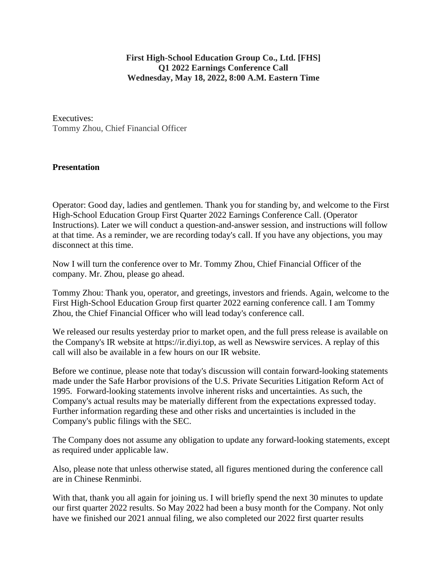**First High-School Education Group Co., Ltd. [FHS] Q1 2022 Earnings Conference Call Wednesday, May 18, 2022, 8:00 A.M. Eastern Time**

Executives: Tommy Zhou, Chief Financial Officer

## **Presentation**

Operator: Good day, ladies and gentlemen. Thank you for standing by, and welcome to the First High-School Education Group First Quarter 2022 Earnings Conference Call. (Operator Instructions). Later we will conduct a question-and-answer session, and instructions will follow at that time. As a reminder, we are recording today's call. If you have any objections, you may disconnect at this time.

Now I will turn the conference over to Mr. Tommy Zhou, Chief Financial Officer of the company. Mr. Zhou, please go ahead.

Tommy Zhou: Thank you, operator, and greetings, investors and friends. Again, welcome to the First High-School Education Group first quarter 2022 earning conference call. I am Tommy Zhou, the Chief Financial Officer who will lead today's conference call.

We released our results yesterday prior to market open, and the full press release is available on the Company's IR website at https://ir.diyi.top, as well as Newswire services. A replay of this call will also be available in a few hours on our IR website.

Before we continue, please note that today's discussion will contain forward-looking statements made under the Safe Harbor provisions of the U.S. Private Securities Litigation Reform Act of 1995. Forward-looking statements involve inherent risks and uncertainties. As such, the Company's actual results may be materially different from the expectations expressed today. Further information regarding these and other risks and uncertainties is included in the Company's public filings with the SEC.

The Company does not assume any obligation to update any forward-looking statements, except as required under applicable law.

Also, please note that unless otherwise stated, all figures mentioned during the conference call are in Chinese Renminbi.

With that, thank you all again for joining us. I will briefly spend the next 30 minutes to update our first quarter 2022 results. So May 2022 had been a busy month for the Company. Not only have we finished our 2021 annual filing, we also completed our 2022 first quarter results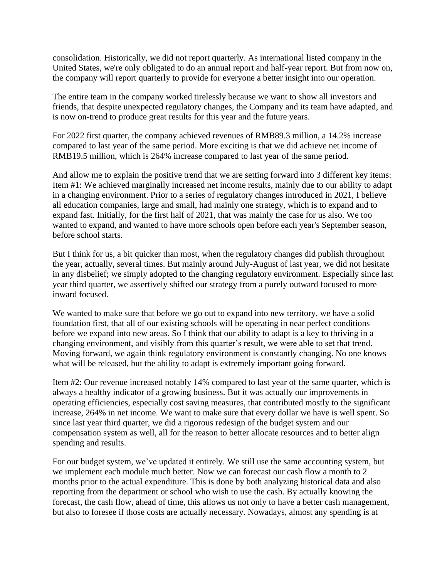consolidation. Historically, we did not report quarterly. As international listed company in the United States, we're only obligated to do an annual report and half-year report. But from now on, the company will report quarterly to provide for everyone a better insight into our operation.

The entire team in the company worked tirelessly because we want to show all investors and friends, that despite unexpected regulatory changes, the Company and its team have adapted, and is now on-trend to produce great results for this year and the future years.

For 2022 first quarter, the company achieved revenues of RMB89.3 million, a 14.2% increase compared to last year of the same period. More exciting is that we did achieve net income of RMB19.5 million, which is 264% increase compared to last year of the same period.

And allow me to explain the positive trend that we are setting forward into 3 different key items: Item #1: We achieved marginally increased net income results, mainly due to our ability to adapt in a changing environment. Prior to a series of regulatory changes introduced in 2021, I believe all education companies, large and small, had mainly one strategy, which is to expand and to expand fast. Initially, for the first half of 2021, that was mainly the case for us also. We too wanted to expand, and wanted to have more schools open before each year's September season, before school starts.

But I think for us, a bit quicker than most, when the regulatory changes did publish throughout the year, actually, several times. But mainly around July-August of last year, we did not hesitate in any disbelief; we simply adopted to the changing regulatory environment. Especially since last year third quarter, we assertively shifted our strategy from a purely outward focused to more inward focused.

We wanted to make sure that before we go out to expand into new territory, we have a solid foundation first, that all of our existing schools will be operating in near perfect conditions before we expand into new areas. So I think that our ability to adapt is a key to thriving in a changing environment, and visibly from this quarter's result, we were able to set that trend. Moving forward, we again think regulatory environment is constantly changing. No one knows what will be released, but the ability to adapt is extremely important going forward.

Item #2: Our revenue increased notably 14% compared to last year of the same quarter, which is always a healthy indicator of a growing business. But it was actually our improvements in operating efficiencies, especially cost saving measures, that contributed mostly to the significant increase, 264% in net income. We want to make sure that every dollar we have is well spent. So since last year third quarter, we did a rigorous redesign of the budget system and our compensation system as well, all for the reason to better allocate resources and to better align spending and results.

For our budget system, we've updated it entirely. We still use the same accounting system, but we implement each module much better. Now we can forecast our cash flow a month to 2 months prior to the actual expenditure. This is done by both analyzing historical data and also reporting from the department or school who wish to use the cash. By actually knowing the forecast, the cash flow, ahead of time, this allows us not only to have a better cash management, but also to foresee if those costs are actually necessary. Nowadays, almost any spending is at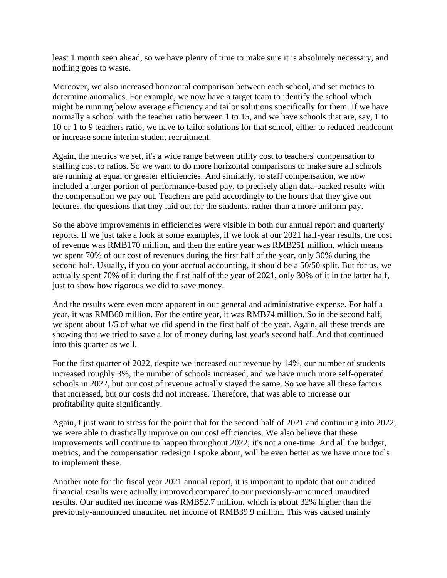least 1 month seen ahead, so we have plenty of time to make sure it is absolutely necessary, and nothing goes to waste.

Moreover, we also increased horizontal comparison between each school, and set metrics to determine anomalies. For example, we now have a target team to identify the school which might be running below average efficiency and tailor solutions specifically for them. If we have normally a school with the teacher ratio between 1 to 15, and we have schools that are, say, 1 to 10 or 1 to 9 teachers ratio, we have to tailor solutions for that school, either to reduced headcount or increase some interim student recruitment.

Again, the metrics we set, it's a wide range between utility cost to teachers' compensation to staffing cost to ratios. So we want to do more horizontal comparisons to make sure all schools are running at equal or greater efficiencies. And similarly, to staff compensation, we now included a larger portion of performance-based pay, to precisely align data-backed results with the compensation we pay out. Teachers are paid accordingly to the hours that they give out lectures, the questions that they laid out for the students, rather than a more uniform pay.

So the above improvements in efficiencies were visible in both our annual report and quarterly reports. If we just take a look at some examples, if we look at our 2021 half-year results, the cost of revenue was RMB170 million, and then the entire year was RMB251 million, which means we spent 70% of our cost of revenues during the first half of the year, only 30% during the second half. Usually, if you do your accrual accounting, it should be a 50/50 split. But for us, we actually spent 70% of it during the first half of the year of 2021, only 30% of it in the latter half, just to show how rigorous we did to save money.

And the results were even more apparent in our general and administrative expense. For half a year, it was RMB60 million. For the entire year, it was RMB74 million. So in the second half, we spent about 1/5 of what we did spend in the first half of the year. Again, all these trends are showing that we tried to save a lot of money during last year's second half. And that continued into this quarter as well.

For the first quarter of 2022, despite we increased our revenue by 14%, our number of students increased roughly 3%, the number of schools increased, and we have much more self-operated schools in 2022, but our cost of revenue actually stayed the same. So we have all these factors that increased, but our costs did not increase. Therefore, that was able to increase our profitability quite significantly.

Again, I just want to stress for the point that for the second half of 2021 and continuing into 2022, we were able to drastically improve on our cost efficiencies. We also believe that these improvements will continue to happen throughout 2022; it's not a one-time. And all the budget, metrics, and the compensation redesign I spoke about, will be even better as we have more tools to implement these.

Another note for the fiscal year 2021 annual report, it is important to update that our audited financial results were actually improved compared to our previously-announced unaudited results. Our audited net income was RMB52.7 million, which is about 32% higher than the previously-announced unaudited net income of RMB39.9 million. This was caused mainly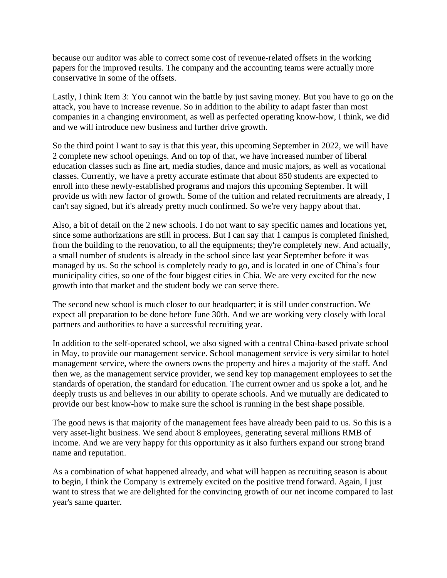because our auditor was able to correct some cost of revenue-related offsets in the working papers for the improved results. The company and the accounting teams were actually more conservative in some of the offsets.

Lastly, I think Item 3: You cannot win the battle by just saving money. But you have to go on the attack, you have to increase revenue. So in addition to the ability to adapt faster than most companies in a changing environment, as well as perfected operating know-how, I think, we did and we will introduce new business and further drive growth.

So the third point I want to say is that this year, this upcoming September in 2022, we will have 2 complete new school openings. And on top of that, we have increased number of liberal education classes such as fine art, media studies, dance and music majors, as well as vocational classes. Currently, we have a pretty accurate estimate that about 850 students are expected to enroll into these newly-established programs and majors this upcoming September. It will provide us with new factor of growth. Some of the tuition and related recruitments are already, I can't say signed, but it's already pretty much confirmed. So we're very happy about that.

Also, a bit of detail on the 2 new schools. I do not want to say specific names and locations yet, since some authorizations are still in process. But I can say that 1 campus is completed finished, from the building to the renovation, to all the equipments; they're completely new. And actually, a small number of students is already in the school since last year September before it was managed by us. So the school is completely ready to go, and is located in one of China's four municipality cities, so one of the four biggest cities in Chia. We are very excited for the new growth into that market and the student body we can serve there.

The second new school is much closer to our headquarter; it is still under construction. We expect all preparation to be done before June 30th. And we are working very closely with local partners and authorities to have a successful recruiting year.

In addition to the self-operated school, we also signed with a central China-based private school in May, to provide our management service. School management service is very similar to hotel management service, where the owners owns the property and hires a majority of the staff. And then we, as the management service provider, we send key top management employees to set the standards of operation, the standard for education. The current owner and us spoke a lot, and he deeply trusts us and believes in our ability to operate schools. And we mutually are dedicated to provide our best know-how to make sure the school is running in the best shape possible.

The good news is that majority of the management fees have already been paid to us. So this is a very asset-light business. We send about 8 employees, generating several millions RMB of income. And we are very happy for this opportunity as it also furthers expand our strong brand name and reputation.

As a combination of what happened already, and what will happen as recruiting season is about to begin, I think the Company is extremely excited on the positive trend forward. Again, I just want to stress that we are delighted for the convincing growth of our net income compared to last year's same quarter.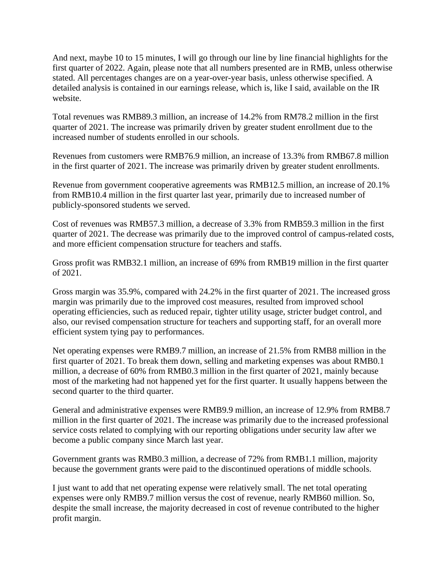And next, maybe 10 to 15 minutes, I will go through our line by line financial highlights for the first quarter of 2022. Again, please note that all numbers presented are in RMB, unless otherwise stated. All percentages changes are on a year-over-year basis, unless otherwise specified. A detailed analysis is contained in our earnings release, which is, like I said, available on the IR website.

Total revenues was RMB89.3 million, an increase of 14.2% from RM78.2 million in the first quarter of 2021. The increase was primarily driven by greater student enrollment due to the increased number of students enrolled in our schools.

Revenues from customers were RMB76.9 million, an increase of 13.3% from RMB67.8 million in the first quarter of 2021. The increase was primarily driven by greater student enrollments.

Revenue from government cooperative agreements was RMB12.5 million, an increase of 20.1% from RMB10.4 million in the first quarter last year, primarily due to increased number of publicly-sponsored students we served.

Cost of revenues was RMB57.3 million, a decrease of 3.3% from RMB59.3 million in the first quarter of 2021. The decrease was primarily due to the improved control of campus-related costs, and more efficient compensation structure for teachers and staffs.

Gross profit was RMB32.1 million, an increase of 69% from RMB19 million in the first quarter of 2021.

Gross margin was 35.9%, compared with 24.2% in the first quarter of 2021. The increased gross margin was primarily due to the improved cost measures, resulted from improved school operating efficiencies, such as reduced repair, tighter utility usage, stricter budget control, and also, our revised compensation structure for teachers and supporting staff, for an overall more efficient system tying pay to performances.

Net operating expenses were RMB9.7 million, an increase of 21.5% from RMB8 million in the first quarter of 2021. To break them down, selling and marketing expenses was about RMB0.1 million, a decrease of 60% from RMB0.3 million in the first quarter of 2021, mainly because most of the marketing had not happened yet for the first quarter. It usually happens between the second quarter to the third quarter.

General and administrative expenses were RMB9.9 million, an increase of 12.9% from RMB8.7 million in the first quarter of 2021. The increase was primarily due to the increased professional service costs related to complying with our reporting obligations under security law after we become a public company since March last year.

Government grants was RMB0.3 million, a decrease of 72% from RMB1.1 million, majority because the government grants were paid to the discontinued operations of middle schools.

I just want to add that net operating expense were relatively small. The net total operating expenses were only RMB9.7 million versus the cost of revenue, nearly RMB60 million. So, despite the small increase, the majority decreased in cost of revenue contributed to the higher profit margin.